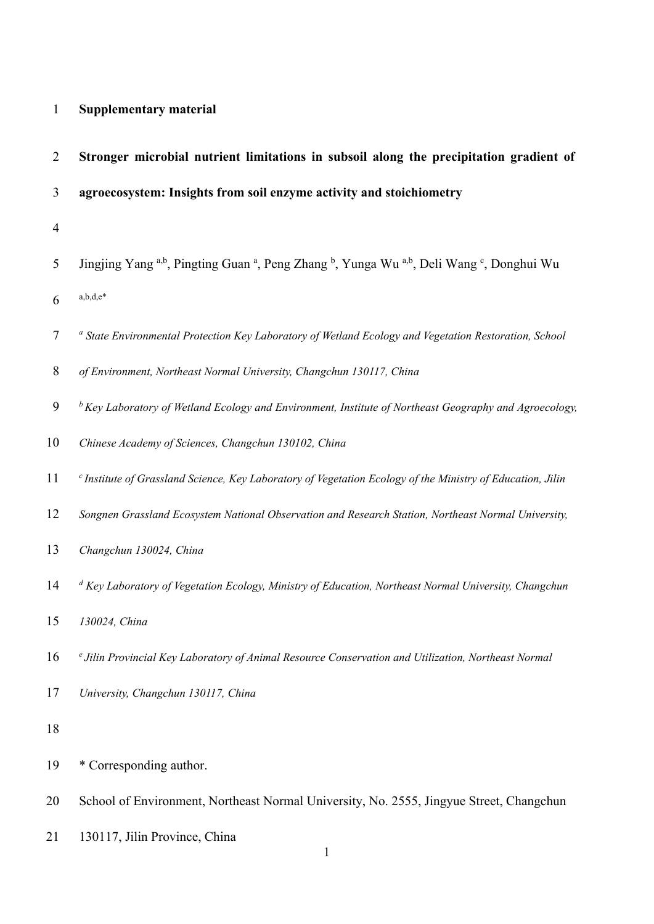## **Supplementary material**

| $\overline{2}$ | Stronger microbial nutrient limitations in subsoil along the precipitation gradient of                             |
|----------------|--------------------------------------------------------------------------------------------------------------------|
| 3              | agroecosystem: Insights from soil enzyme activity and stoichiometry                                                |
| $\overline{4}$ |                                                                                                                    |
| 5              | Jingjing Yang a,b, Pingting Guan a, Peng Zhang b, Yunga Wu a,b, Deli Wang c, Donghui Wu                            |
| 6              | $a,b,d,e^*$                                                                                                        |
| $\tau$         | <sup>a</sup> State Environmental Protection Key Laboratory of Wetland Ecology and Vegetation Restoration, School   |
| 8              | of Environment, Northeast Normal University, Changchun 130117, China                                               |
| 9              | ${}^b$ Key Laboratory of Wetland Ecology and Environment, Institute of Northeast Geography and Agroecology,        |
| 10             | Chinese Academy of Sciences, Changchun 130102, China                                                               |
| 11             | $c$ Institute of Grassland Science, Key Laboratory of Vegetation Ecology of the Ministry of Education, Jilin       |
| 12             | Songnen Grassland Ecosystem National Observation and Research Station, Northeast Normal University,                |
| 13             | Changchun 130024, China                                                                                            |
| 14             | $\frac{d}{dx}$ Key Laboratory of Vegetation Ecology, Ministry of Education, Northeast Normal University, Changchun |
| 15             | 130024, China                                                                                                      |
| 16             | <sup>e</sup> Jilin Provincial Key Laboratory of Animal Resource Conservation and Utilization, Northeast Normal     |
| 17             | University, Changchun 130117, China                                                                                |
| 18             |                                                                                                                    |
| 19             | * Corresponding author.                                                                                            |
| 20             | School of Environment, Northeast Normal University, No. 2555, Jingyue Street, Changchun                            |
| 21             | 130117, Jilin Province, China                                                                                      |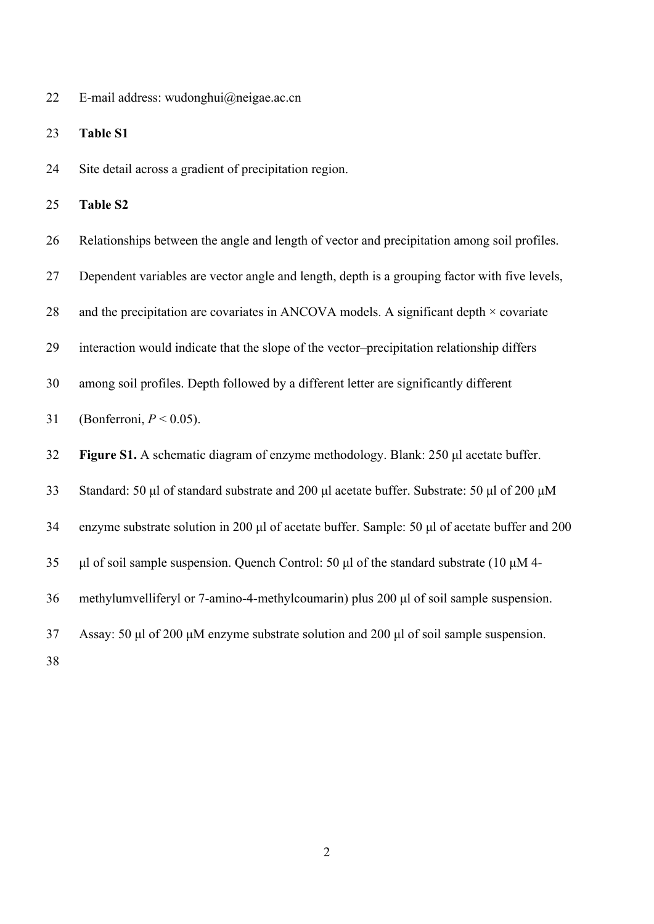E-mail address: wudonghui@neigae.ac.cn

**Table S1** 

Site detail across a gradient of precipitation region.

**Table S2** 

| 26 | Relationships between the angle and length of vector and precipitation among soil profiles.    |
|----|------------------------------------------------------------------------------------------------|
| 27 | Dependent variables are vector angle and length, depth is a grouping factor with five levels,  |
| 28 | and the precipitation are covariates in ANCOVA models. A significant depth $\times$ covariate  |
| 29 | interaction would indicate that the slope of the vector-precipitation relationship differs     |
| 30 | among soil profiles. Depth followed by a different letter are significantly different          |
| 31 | (Bonferroni, $P < 0.05$ ).                                                                     |
| 32 | Figure S1. A schematic diagram of enzyme methodology. Blank: 250 µl acetate buffer.            |
| 33 | Standard: 50 µl of standard substrate and 200 µl acetate buffer. Substrate: 50 µl of 200 µM    |
| 34 | enzyme substrate solution in 200 µl of acetate buffer. Sample: 50 µl of acetate buffer and 200 |
| 35 | μl of soil sample suspension. Quench Control: 50 μl of the standard substrate $(10 \mu M 4 -$  |
| 36 | methylumvelliferyl or 7-amino-4-methylcoumarin) plus 200 µl of soil sample suspension.         |
| 37 | Assay: 50 µl of 200 µM enzyme substrate solution and 200 µl of soil sample suspension.         |
|    |                                                                                                |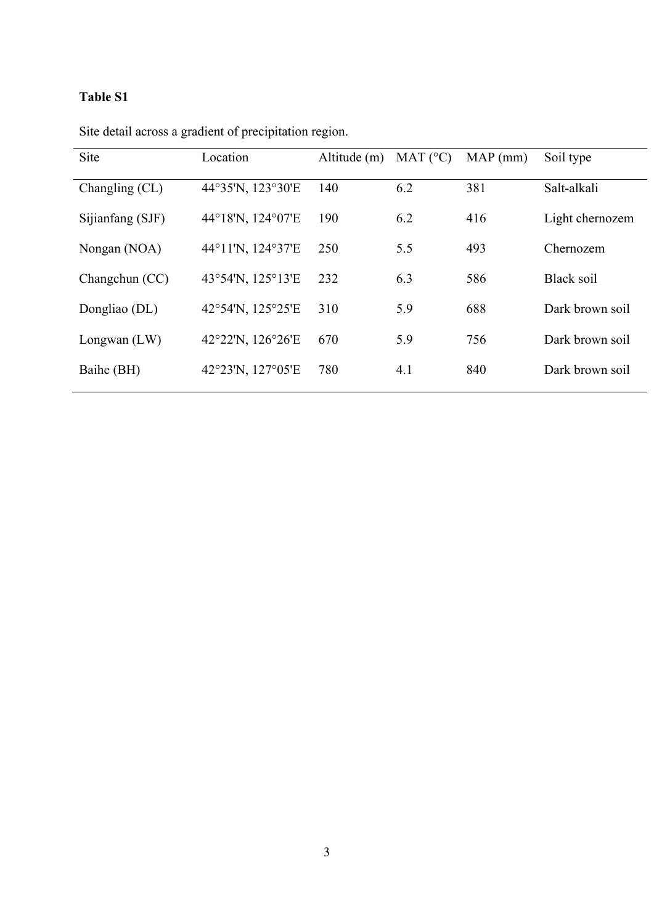## **Table S1**

| Site             | Location          | Altitude $(m)$ | MAT (°C) | MAP (mm) | Soil type       |
|------------------|-------------------|----------------|----------|----------|-----------------|
| Changling (CL)   | 44°35'N, 123°30'E | 140            | 6.2      | 381      | Salt-alkali     |
| Sijianfang (SJF) | 44°18'N, 124°07'E | 190            | 6.2      | 416      | Light chernozem |
| Nongan (NOA)     | 44°11'N, 124°37'E | 250            | 5.5      | 493      | Chernozem       |
| Changchun (CC)   | 43°54'N, 125°13'E | 232            | 6.3      | 586      | Black soil      |
| Dongliao (DL)    | 42°54'N, 125°25'E | 310            | 5.9      | 688      | Dark brown soil |
| Longwan $(LW)$   | 42°22'N, 126°26'E | 670            | 5.9      | 756      | Dark brown soil |
| Baihe (BH)       | 42°23'N, 127°05'E | 780            | 4.1      | 840      | Dark brown soil |

Site detail across a gradient of precipitation region.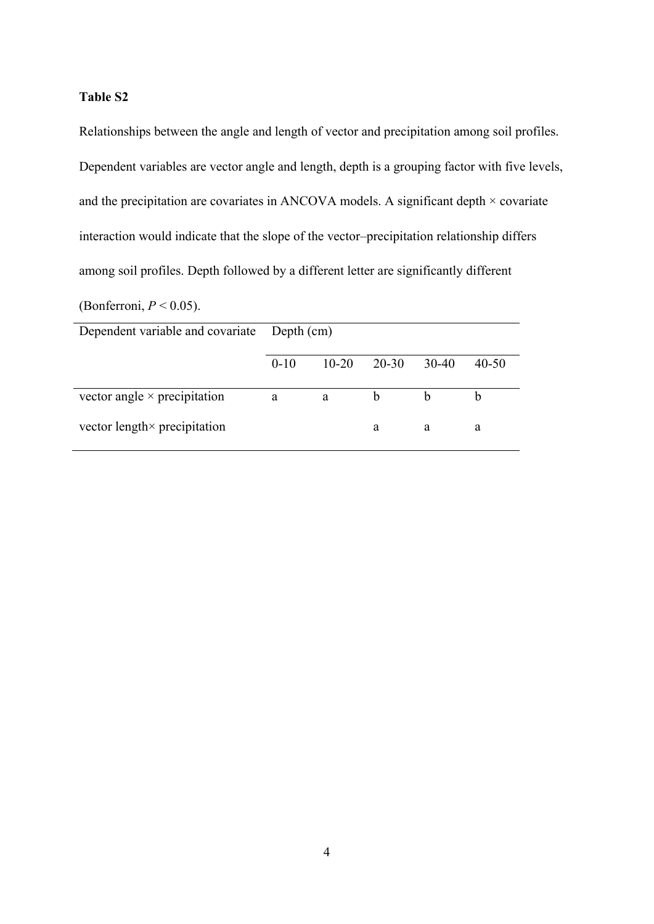## **Table S2**

Relationships between the angle and length of vector and precipitation among soil profiles. Dependent variables are vector angle and length, depth is a grouping factor with five levels, and the precipitation are covariates in ANCOVA models. A significant depth  $\times$  covariate interaction would indicate that the slope of the vector–precipitation relationship differs among soil profiles. Depth followed by a different letter are significantly different

(Bonferroni, *P* < 0.05).

| Dependent variable and covariate Depth (cm) |        |         |       |       |           |
|---------------------------------------------|--------|---------|-------|-------|-----------|
|                                             | $0-10$ | $10-20$ | 20-30 | 30-40 | $40 - 50$ |
| vector angle $\times$ precipitation         | a      | a       | h     | h     |           |
| vector length $\times$ precipitation        |        |         | a     | a     | a         |